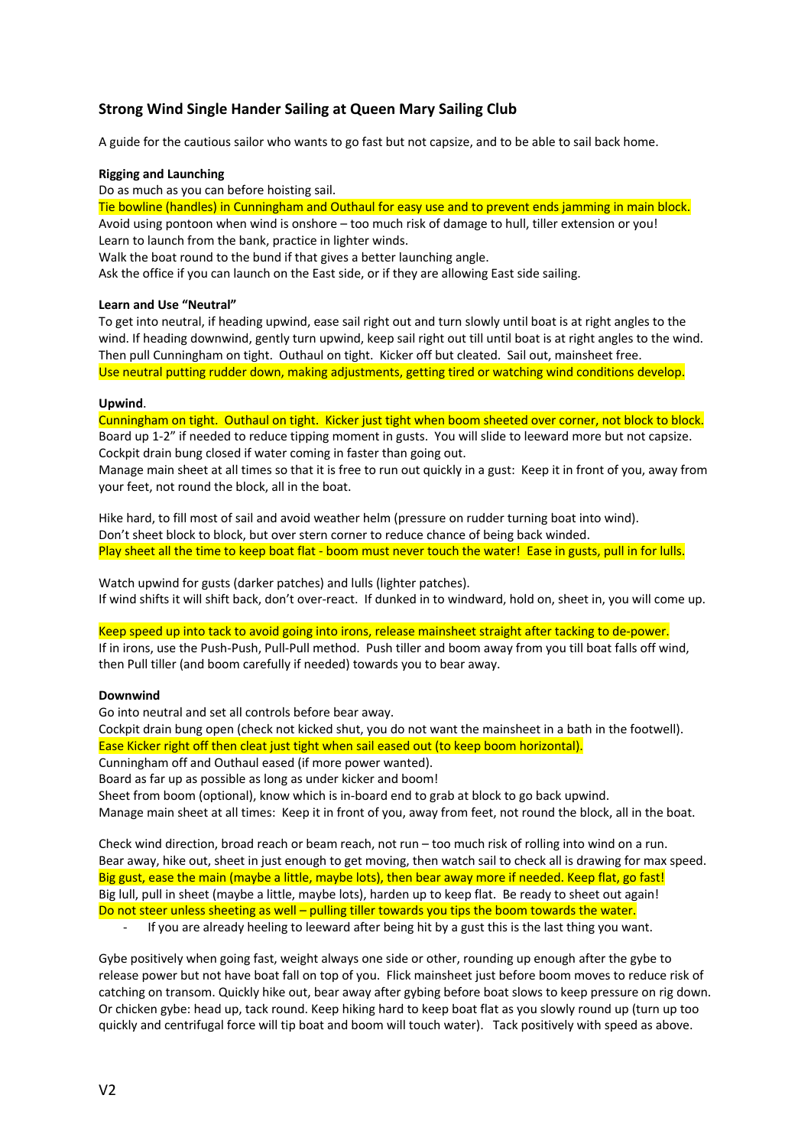# **Strong Wind Single Hander Sailing at Queen Mary Sailing Club**

A guide for the cautious sailor who wants to go fast but not capsize, and to be able to sail back home.

#### **Rigging and Launching**

Do as much as you can before hoisting sail.

Tie bowline (handles) in Cunningham and Outhaul for easy use and to prevent ends jamming in main block. Avoid using pontoon when wind is onshore – too much risk of damage to hull, tiller extension or you! Learn to launch from the bank, practice in lighter winds.

Walk the boat round to the bund if that gives a better launching angle.

Ask the office if you can launch on the East side, or if they are allowing East side sailing.

## **Learn and Use "Neutral"**

To get into neutral, if heading upwind, ease sail right out and turn slowly until boat is at right angles to the wind. If heading downwind, gently turn upwind, keep sail right out till until boat is at right angles to the wind. Then pull Cunningham on tight. Outhaul on tight. Kicker off but cleated. Sail out, mainsheet free. Use neutral putting rudder down, making adjustments, getting tired or watching wind conditions develop.

## **Upwind**.

Cunningham on tight. Outhaul on tight. Kicker just tight when boom sheeted over corner, not block to block. Board up 1-2" if needed to reduce tipping moment in gusts. You will slide to leeward more but not capsize. Cockpit drain bung closed if water coming in faster than going out.

Manage main sheet at all times so that it is free to run out quickly in a gust: Keep it in front of you, away from your feet, not round the block, all in the boat.

Hike hard, to fill most of sail and avoid weather helm (pressure on rudder turning boat into wind). Don't sheet block to block, but over stern corner to reduce chance of being back winded. Play sheet all the time to keep boat flat - boom must never touch the water! Ease in gusts, pull in for lulls.

Watch upwind for gusts (darker patches) and lulls (lighter patches). If wind shifts it will shift back, don't over-react. If dunked in to windward, hold on, sheet in, you will come up.

Keep speed up into tack to avoid going into irons, release mainsheet straight after tacking to de-power. If in irons, use the Push-Push, Pull-Pull method. Push tiller and boom away from you till boat falls off wind, then Pull tiller (and boom carefully if needed) towards you to bear away.

#### **Downwind**

Go into neutral and set all controls before bear away.

Cockpit drain bung open (check not kicked shut, you do not want the mainsheet in a bath in the footwell). Ease Kicker right off then cleat just tight when sail eased out (to keep boom horizontal).

Cunningham off and Outhaul eased (if more power wanted).

Board as far up as possible as long as under kicker and boom!

Sheet from boom (optional), know which is in-board end to grab at block to go back upwind.

Manage main sheet at all times: Keep it in front of you, away from feet, not round the block, all in the boat.

Check wind direction, broad reach or beam reach, not run – too much risk of rolling into wind on a run. Bear away, hike out, sheet in just enough to get moving, then watch sail to check all is drawing for max speed. Big gust, ease the main (maybe a little, maybe lots), then bear away more if needed. Keep flat, go fast! Big lull, pull in sheet (maybe a little, maybe lots), harden up to keep flat. Be ready to sheet out again! Do not steer unless sheeting as well – pulling tiller towards you tips the boom towards the water.

If you are already heeling to leeward after being hit by a gust this is the last thing you want.

Gybe positively when going fast, weight always one side or other, rounding up enough after the gybe to release power but not have boat fall on top of you. Flick mainsheet just before boom moves to reduce risk of catching on transom. Quickly hike out, bear away after gybing before boat slows to keep pressure on rig down. Or chicken gybe: head up, tack round. Keep hiking hard to keep boat flat as you slowly round up (turn up too quickly and centrifugal force will tip boat and boom will touch water). Tack positively with speed as above.